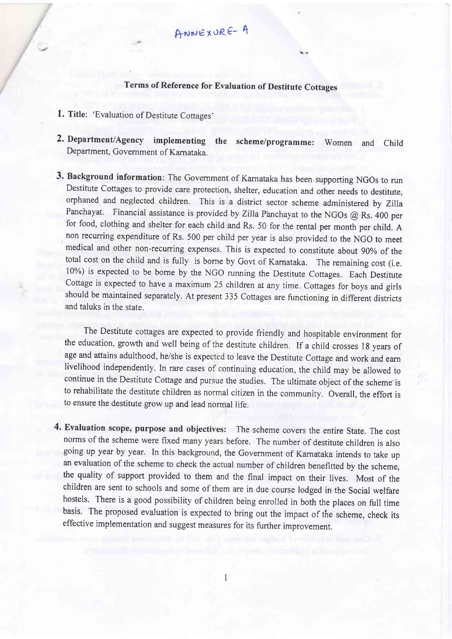ANNEXURE- A

## Terms of Reference for Evaluation of Destitute cottages

- 1. Title: 'Evaluation of Destitute Cottages'
- 2. Department/Agency implementing the scheme/programme: Women and Child Department, Government of Karnataka.
- 3. Background information: The Govemment of Karnataka has been supporting NGOs to run Destitute Cottages to provide care protection, shelter, education and other needs to destitute, orphaned and neglected children. This is a district sector scheme administered by Zilla Panchayat. Financial assistance is provided by Zilla Panchayat to the NGOs @ Rs. 400 per for food, clothing and shelter for each child and Rs. 50 for the rental per month per child. <sup>A</sup> non recurring expenditure of Rs. 500 per child per year is also provided to the NGO to meet medical and other non-recurring expenses. This is expected to constitute about 90% of the total cost on the child and is fully is bome by Govt of Karnataka. The remaining cost (i.e. 10%) is expected to be borne by the NGO running the Destitute Cottages. Each Destitute Cottage is expected to have a maximum 25 children at any time. Cottages for boys and girls should be maintained separately. At present 335 Cottages are functioning in different districts and taluks in the state.

The Destitute cottages are expected to provide friendly and hospitable environment for the education, growth and well being of the destitute children. If a child crosses l8 years of age and attains adulthood, he/she is expected to leave the Destitute Cottage and work and earn livelihood independently. In rare cases of continuing education, the child may be allowed to continue in the Destitute Cottage and pursue the studies. The ultimate object of the scheme'is to rehabilitate the destitute children as normal citizen in the community. Overall, the effort is to ensure the destitute grow up and lead normal life,

4. Evaluation scope, purpose and objectives: The scheme covers the entire State. The cost norrns of the scheme were fixed many years before. The number of destitute children is also going up year by year. In this background, the Government of Karnataka intends to take up an evaluation of the scheme to check the actual number of children benefitted by the scheme, the quality of support provided to them and the final impact on their lives. Most of the children are sent to schools and some of them are in due course lodged in the Social welfare hostels. There is a good possibility of children being enrolled in both the places on full time basis. The proposed evaluation is expected to bring out the impact of the scheme, check its effective implementation and suggest measures for its further improvement.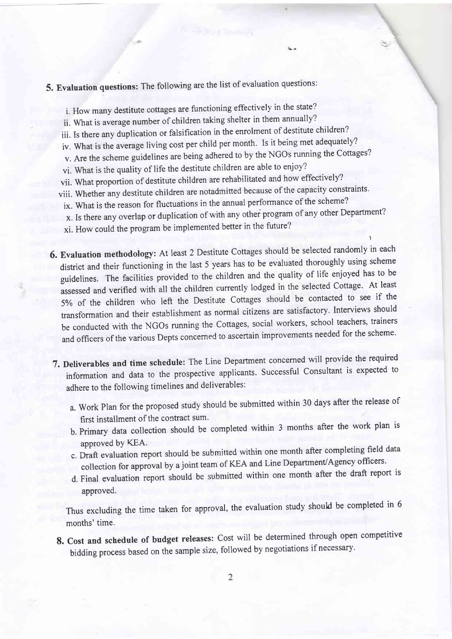## 5. Evaluation questions: The following are the list of evaluation questions:

- i. How many destitute cottages are functioning effectively in the state?
- ii. what is average number of children taking shelter in them annually?
- iii. Is there any duplication or falsification in the enrolment of destitute children?
- iv. What is the average living cost per child per month. Is it being met adequately?
- v. Are the scheme guidelines are being adhered to by the NGOs running the Cottages?
- vi. What is the quality of life the destitute children are able to enjoy?
- vii. What proportion of destitute children are rehabilitated and how effectively?
- viii. Whether any destitute children are notadmitted because of the capacity constraints.
- ix. What is the reason for fluctuations in the annual performance of the scheme?
- x. Is there any overlap or duplication of with any othei program of any other Department?
- xi. How could the program be implemented better in the future?
- 6. Evaluation methodology: At least 2 Destirute Cottages should be selected randomly in each district and their functioning in the last 5 years has to be evaluated thoroughly using scheme guidelines. The facilities provided to the children and the quality of life enjoyed has to be assessed and verified with all the children currently lodged in the selected Cottage. At least 5% of the children who left the Destitute cottages should be contacted to see if the transformation and their establishment as normal citizens are satisfactory. Interviews should be conducted with the NGOs running the Cottages, social workers, school teachers, trainers and officers of the various Depts concerned to ascertain improvements needed for the scheme.
- 7. Deliverables and time schedule: The Line Department concerned will provide the required information and data to the prospective applicants. Successful Consultant is expected to adhere to the following timelines and deliverables:
	- a. work plan for the proposed study should be submitted within 30 days after the release of first installment of the contract sum.
	- b. Primary data collection should be completed within 3 months after the work plan is approved bY KEA.
	- c. Draft evaluation report should be submitted within one month after completing field data collection for approval by a joint team of KEA and Line Department/Agency officers.
	- d. Final evaluation report should be submitted within one month after the draft report is approved.

Thus excluding the time taken for approval, the evaluation study should be completed in <sup>6</sup> months' time.

8. Cost and schedule of budget releases: Cost will be determined through open competitive bidding process based on the sample size, followed by negotiations if necessary.